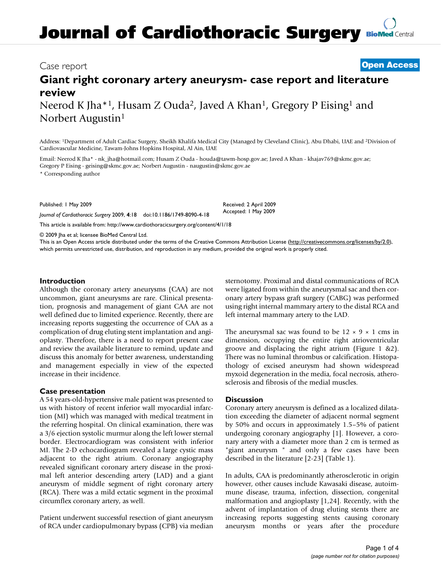# **Journal of Cardiothoracic Surgery [BioMed](http://www.biomedcentral.com/) Central**

### Case report **[Open Access](http://www.biomedcentral.com/info/about/charter/)**

## **Giant right coronary artery aneurysm- case report and literature review**

Neerod K Jha\*<sup>1</sup>, Husam Z Ouda<sup>2</sup>, Javed A Khan<sup>1</sup>, Gregory P Eising<sup>1</sup> and Norbert Augustin<sup>1</sup>

Address: 1Department of Adult Cardiac Surgery, Sheikh Khalifa Medical City (Managed by Cleveland Clinic), Abu Dhabi, UAE and 2Division of Cardiovascular Medicine, Tawam-Johns Hopkins Hospital, Al Ain, UAE

Email: Neerod K Jha\* - nk\_jha@hotmail.com; Husam Z Ouda - houda@tawm-hosp.gov.ae; Javed A Khan - khajav769@skmc.gov.ae; Gregory P Eising - geising@skmc.gov.ae; Norbert Augustin - naugustin@skmc.gov.ae

\* Corresponding author

Published: 1 May 2009

*Journal of Cardiothoracic Surgery* 2009, **4**:18 doi:10.1186/1749-8090-4-18

[This article is available from: http://www.cardiothoracicsurgery.org/content/4/1/18](http://www.cardiothoracicsurgery.org/content/4/1/18)

© 2009 Jha et al; licensee BioMed Central Ltd.

This is an Open Access article distributed under the terms of the Creative Commons Attribution License [\(http://creativecommons.org/licenses/by/2.0\)](http://creativecommons.org/licenses/by/2.0), which permits unrestricted use, distribution, and reproduction in any medium, provided the original work is properly cited.

Received: 2 April 2009 Accepted: 1 May 2009

#### **Introduction**

Although the coronary artery aneurysms (CAA) are not uncommon, giant aneurysms are rare. Clinical presentation, prognosis and management of giant CAA are not well defined due to limited experience. Recently, there are increasing reports suggesting the occurrence of CAA as a complication of drug eluting stent implantation and angioplasty. Therefore, there is a need to report present case and review the available literature to remind, update and discuss this anomaly for better awareness, understanding and management especially in view of the expected increase in their incidence.

#### **Case presentation**

A 54 years-old-hypertensive male patient was presented to us with history of recent inferior wall myocardial infarction (MI) which was managed with medical treatment in the referring hospital. On clinical examination, there was a 3/6 ejection systolic murmur along the left lower sternal border. Electrocardiogram was consistent with inferior MI. The 2-D echocardiogram revealed a large cystic mass adjacent to the right atrium. Coronary angiography revealed significant coronary artery disease in the proximal left anterior descending artery (LAD) and a giant aneurysm of middle segment of right coronary artery (RCA). There was a mild ectatic segment in the proximal circumflex coronary artery, as well.

Patient underwent successful resection of giant aneurysm of RCA under cardiopulmonary bypass (CPB) via median sternotomy. Proximal and distal communications of RCA were ligated from within the aneurysmal sac and then coronary artery bypass graft surgery (CABG) was performed using right internal mammary artery to the distal RCA and left internal mammary artery to the LAD.

The aneurysmal sac was found to be  $12 \times 9 \times 1$  cms in dimension, occupying the entire right atrioventricular groove and displacing the right atrium (Figure [1](#page-1-0) [&2\)](#page-1-1). There was no luminal thrombus or calcification. Histopathology of excised aneurysm had shown widespread myxoid degeneration in the media, focal necrosis, atherosclerosis and fibrosis of the medial muscles.

#### **Discussion**

Coronary artery aneurysm is defined as a localized dilatation exceeding the diameter of adjacent normal segment by 50% and occurs in approximately 1.5–5% of patient undergoing coronary angiography [\[1\]](#page-3-0). However, a coronary artery with a diameter more than 2 cm is termed as "giant aneurysm " and only a few cases have been described in the literature [[2](#page-3-1)[-23\]](#page-3-2) (Table [1\)](#page-2-0).

In adults, CAA is predominantly atherosclerotic in origin however, other causes include Kawasaki disease, autoimmune disease, trauma, infection, dissection, congenital malformation and angioplasty [\[1](#page-3-0)[,24](#page-3-3)]. Recently, with the advent of implantation of drug eluting stents there are increasing reports suggesting stents causing coronary aneurysm months or years after the procedure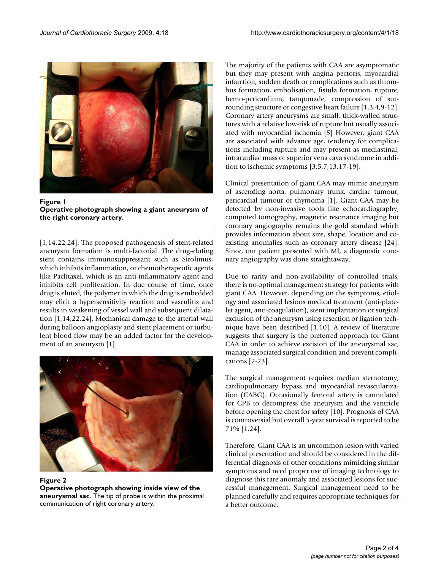<span id="page-1-0"></span>

**Figure 1 Operative photograph showing a giant aneurysm of the right coronary artery**.

[[1](#page-3-0)[,14](#page-3-4),[22,](#page-3-5)[24](#page-3-3)]. The proposed pathogenesis of stent-related aneurysm formation is multi-factorial. The drug-eluting stent contains immunosuppressant such as Sirolimus, which inhibits inflammation, or chemotherapeutic agents like Paclitaxel, which is an anti-inflammatory agent and inhibits cell proliferation. In due course of time, once drug is eluted, the polymer in which the drug is embedded may elicit a hypersensitivity reaction and vasculitis and results in weakening of vessel wall and subsequent dilatation [[1](#page-3-0)[,14](#page-3-4),[22,](#page-3-5)[24\]](#page-3-3). Mechanical damage to the arterial wall during balloon angioplasty and stent placement or turbulent blood flow may be an added factor for the development of an aneurysm [[1](#page-3-0)].

<span id="page-1-1"></span>

**Figure 2 Operative photograph showing inside view of the aneurysmal sac**. The tip of probe is within the proximal communication of right coronary artery.

The majority of the patients with CAA are asymptomatic but they may present with angina pectoris, myocardial infarction, sudden death or complications such as thrombus formation, embolisation, fistula formation, rupture, hemo-pericardium, tamponade, compression of surrounding structure or congestive heart failure [[1](#page-3-0),[3](#page-3-6),[4](#page-3-7),[9](#page-3-8)[-12](#page-3-9)]. Coronary artery aneurysms are small, thick-walled structures with a relative low-risk of rupture but usually associated with myocardial ischemia [\[5\]](#page-3-10) However, giant CAA are associated with advance age, tendency for complications including rupture and may present as mediastinal, intracardiac mass or superior vena cava syndrome in addition to ischemic symptoms [\[3,](#page-3-6)[5,](#page-3-10)[7](#page-3-11),[13](#page-3-12)[,17](#page-3-13)[-19](#page-3-14)].

Clinical presentation of giant CAA may mimic aneurysm of ascending aorta, pulmonary trunk, cardiac tumour, pericardial tumour or thymoma [[1](#page-3-0)]. Giant CAA may be detected by non-invasive tools like echocardiography, computed tomography, magnetic resonance imaging but coronary angiography remains the gold standard which provides information about size, shape, location and coexisting anomalies such as coronary artery disease [\[24](#page-3-3)]. Since, our patient presented with MI, a diagnostic coronary angiography was done straightaway.

Due to rarity and non-availability of controlled trials, there is no optimal management strategy for patients with giant CAA. However, depending on the symptoms, etiology and associated lesions medical treatment (anti-platelet agent, anti-coagulation), stent implantation or surgical exclusion of the aneurysm using resection or ligation technique have been described [\[1,](#page-3-0)[10\]](#page-3-15). A review of literature suggests that surgery is the preferred approach for Giant CAA in order to achieve excision of the aneurysmal sac, manage associated surgical condition and prevent complications [[2](#page-3-1)[-23](#page-3-2)].

The surgical management requires median sternotomy, cardiopulmonary bypass and myocardial revascularization (CABG). Occasionally femoral artery is cannulated for CPB to decompress the aneurysm and the ventricle before opening the chest for safety [[10\]](#page-3-15). Prognosis of CAA is controversial but overall 5-year survival is reported to be 71% [[1](#page-3-0)[,24](#page-3-3)].

Therefore, Giant CAA is an uncommon lesion with varied clinical presentation and should be considered in the differential diagnosis of other conditions mimicking similar symptoms and need proper use of imaging technology to diagnose this rare anomaly and associated lesions for successful management. Surgical management need to be planned carefully and requires appropriate techniques for a better outcome.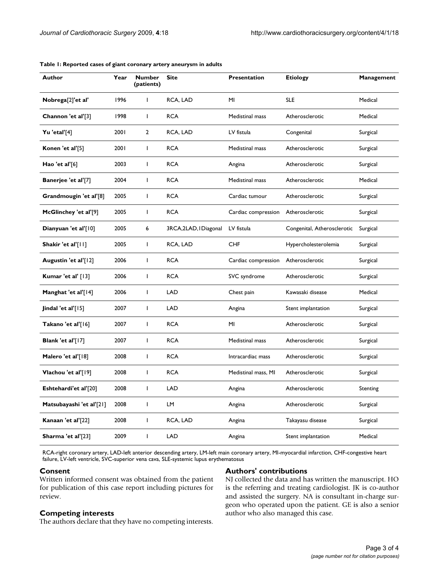| Author                   | Year | <b>Number</b><br>(patients) | <b>Site</b>            | <b>Presentation</b> | <b>Etiology</b>             | Management |
|--------------------------|------|-----------------------------|------------------------|---------------------|-----------------------------|------------|
| Nobrega[2]'et al'        | 1996 | $\mathbf{I}$                | RCA, LAD               | MI                  | <b>SLE</b>                  | Medical    |
| Channon 'et al'[3]       | 1998 | $\mathbf{I}$                | <b>RCA</b>             | Medistinal mass     | Atherosclerotic             | Medical    |
| Yu 'etal'[4]             | 2001 | $\overline{2}$              | RCA, LAD               | LV fistula          | Congenital                  | Surgical   |
| Konen 'et al'[5]         | 2001 | $\mathbf{I}$                | <b>RCA</b>             | Medistinal mass     | Atherosclerotic             | Surgical   |
| Hao 'et al'[6]           | 2003 | $\mathbf{I}$                | <b>RCA</b>             | Angina              | Atherosclerotic             | Surgical   |
| Banerjee 'et al'[7]      | 2004 | $\mathbf{I}$                | <b>RCA</b>             | Medistinal mass     | Atherosclerotic             | Medical    |
| Grandmougin 'et al'[8]   | 2005 | $\mathbf{I}$                | <b>RCA</b>             | Cardiac tumour      | Atherosclerotic             | Surgical   |
| McGlinchey 'et al'[9]    | 2005 | $\mathbf{I}$                | <b>RCA</b>             | Cardiac compression | Atherosclerotic             | Surgical   |
| Dianyuan 'et al'[10]     | 2005 | 6                           | 3RCA, 2LAD, I Diagonal | LV fistula          | Congenital, Atherosclerotic | Surgical   |
| Shakir 'et al'[11]       | 2005 | $\mathbf{I}$                | RCA, LAD               | <b>CHF</b>          | Hypercholesterolemia        | Surgical   |
| Augustin 'et al'[12]     | 2006 | $\mathbf{I}$                | <b>RCA</b>             | Cardiac compression | Atherosclerotic             | Surgical   |
| Kumar 'et al' [13]       | 2006 | $\mathbf{I}$                | <b>RCA</b>             | SVC syndrome        | Atherosclerotic             | Surgical   |
| Manghat 'et al'[14]      | 2006 | $\mathbf{I}$                | <b>LAD</b>             | Chest pain          | Kawasaki disease            | Medical    |
| Jindal 'et al' $[15]$    | 2007 | $\mathbf{I}$                | <b>LAD</b>             | Angina              | Stent implantation          | Surgical   |
| Takano 'et al'[16]       | 2007 | $\mathbf{I}$                | <b>RCA</b>             | MI                  | Atherosclerotic             | Surgical   |
| Blank 'et al'[17]        | 2007 | $\mathbf{I}$                | <b>RCA</b>             | Medistinal mass     | Atherosclerotic             | Surgical   |
| Malero 'et al'[18]       | 2008 | $\mathbf{I}$                | <b>RCA</b>             | Intracardiac mass   | Atherosclerotic             | Surgical   |
| Vlachou 'et al'[19]      | 2008 | $\mathbf{I}$                | <b>RCA</b>             | Medistinal mass, MI | Atherosclerotic             | Surgical   |
| Eshtehardi'et al'[20]    | 2008 | $\mathbf{I}$                | <b>LAD</b>             | Angina              | Atherosclerotic             | Stenting   |
| Matsubayashi 'et al'[21] | 2008 | $\mathbf{I}$                | <b>LM</b>              | Angina              | Atherosclerotic             | Surgical   |
| Kanaan 'et al'[22]       | 2008 | $\mathbf{I}$                | RCA, LAD               | Angina              | Takayasu disease            | Surgical   |
| Sharma 'et al'[23]       | 2009 | L                           | LAD                    | Angina              | Stent implantation          | Medical    |

#### <span id="page-2-0"></span>**Table 1: Reported cases of giant coronary artery aneurysm in adults**

RCA-right coronary artery, LAD-left anterior descending artery, LM-left main coronary artery, MI-myocardial infarction, CHF-congestive heart failure, LV-left ventricle, SVC-superior vena cava, SLE-systemic lupus erythematosus

#### **Consent**

**Competing interests**

Written informed consent was obtained from the patient for publication of this case report including pictures for review.

The authors declare that they have no competing interests.

#### **Authors' contributions**

NJ collected the data and has written the manuscript. HO is the referring and treating cardiologist. JK is co-author and assisted the surgery. NA is consultant in-charge surgeon who operated upon the patient. GE is also a senior author who also managed this case.